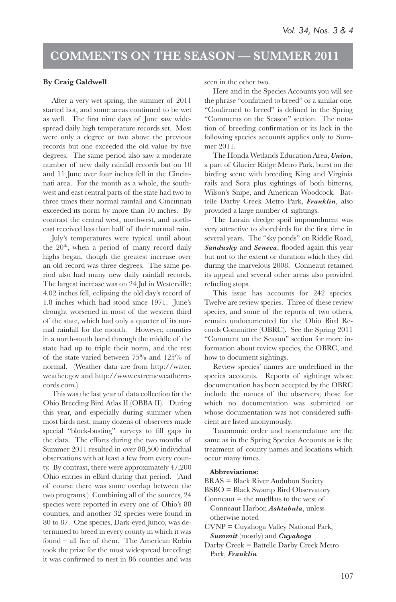## **COMMENTS ON THE SEASON — SUMMER 2011**

## **By Craig Caldwell**

After a very wet spring, the summer of 2011 started hot, and some areas continued to be wet as well. The first nine days of June saw widespread daily high temperature records set. Most were only a degree or two above the previous records but one exceeded the old value by five degrees. The same period also saw a moderate number of new daily rainfall records but on 10 and 11 June over four inches fell in the Cincinnati area. For the month as a whole, the southwest and east central parts of the state had two to three times their normal rainfall and Cincinnati exceeded its norm by more than 10 inches. By contrast the central west, northwest, and northeast received less than half of their normal rain.

July's temperatures were typical until about the  $20<sup>th</sup>$ , when a period of many record daily highs began, though the greatest increase over an old record was three degrees. The same period also had many new daily rainfall records. The largest increase was on 24 Jul in Westerville: 4.02 inches fell, eclipsing the old day's record of 1.8 inches which had stood since 1971. June's drought worsened in most of the western third of the state, which had only a quarter of its normal rainfall for the month. However, counties in a north-south band through the middle of the state had up to triple their norm, and the rest of the state varied between 75% and 125% of normal. (Weather data are from http://water. weather.gov and http://www.extremeweatherrecords.com.)

This was the last year of data collection for the Ohio Breeding Bird Atlas II (OBBA II). During this year, and especially during summer when most birds nest, many dozens of observers made special "block-busting" surveys to fill gaps in the data. The efforts during the two months of Summer 2011 resulted in over 88,500 individual observations with at least a few from every county. By contrast, there were approximately 47,200 Ohio entries in eBird during that period. (And of course there was some overlap between the two programs.) Combining all of the sources, 24 species were reported in every one of Ohio's 88 counties, and another 32 species were found in 80 to 87. One species, Dark-eyed Junco, was determined to breed in every county in which it was found – all five of them. The American Robin took the prize for the most widespread breeding; it was confirmed to nest in 86 counties and was

seen in the other two.

Here and in the Species Accounts you will see the phrase "confirmed to breed" or a similar one. "Confirmed to breed" is defined in the Spring "Comments on the Season" section. The notation of breeding confirmation or its lack in the following species accounts applies only to Summer 2011.

The Honda Wetlands Education Area, *Union*, a part of Glacier Ridge Metro Park, burst on the birding scene with breeding King and Virginia rails and Sora plus sightings of both bitterns, Wilson's Snipe, and American Woodcock. Battelle Darby Creek Metro Park, *Franklin*, also provided a large number of sightings.

The Lorain dredge spoil impoundment was very attractive to shorebirds for the first time in several years. The "sky ponds" on Riddle Road, Sandusky and Seneca, flooded again this year but not to the extent or duration which they did during the marvelous 2008. Conneaut retained its appeal and several other areas also provided refueling stops.

This issue has accounts for 242 species. Twelve are review species. Three of these review species, and some of the reports of two others, remain undocumented for the Ohio Bird Records Committee (OBRC). See the Spring 2011 "Comment on the Season" section for more information about review species, the OBRC, and how to document sightings.

Review species' names are underlined in the species accounts. Reports of sightings whose documentation has been accepted by the OBRC include the names of the observers; those for which no documentation was submitted or whose documentation was not considered sufficient are listed anonymously.

Taxonomic order and nomenclature are the same as in the Spring Species Accounts as is the treatment of county names and locations which occur many times.

## **Abbreviations:**

- BRAS = Black River Audubon Society
- BSBO = Black Swamp Bird Observatory

Conneaut  $=$  the mudflats to the west of Conneaut Harbor, *Ashtabula*, unless otherwise noted

CVNP = Cuyahoga Valley National Park, *Summit* (mostly) and *Cuyahoga*

Darby Creek = Battelle Darby Creek Metro Park, *Franklin*